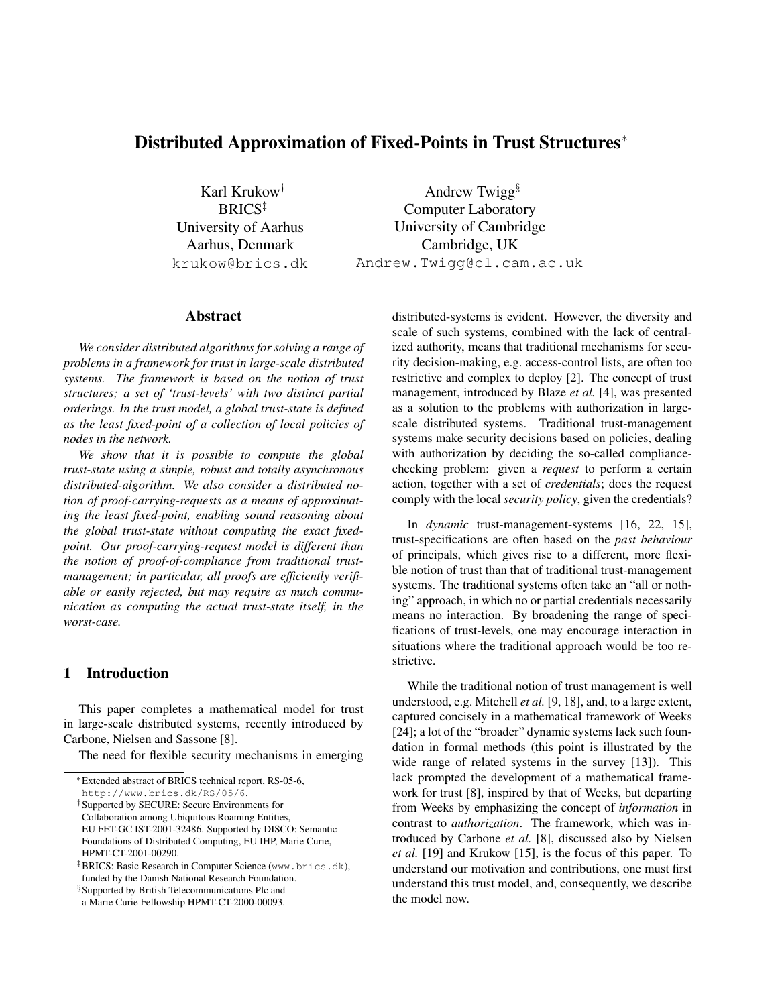# **Distributed Approximation of Fixed-Points in Trust Structures**<sup>∗</sup>

Karl Krukow † BRICS‡ University of Aarhus Aarhus, Denmark krukow@brics.dk

Andrew Twigg§ Computer Laboratory University of Cambridge Cambridge, UK Andrew.Twigg@cl.cam.ac.uk

### **Abstract**

*We consider distributed algorithms for solving a range of problems in a framework for trust in large-scale distributed systems. The framework is based on the notion of trust structures; a set of 'trust-levels' with two distinct partial orderings. In the trust model, a global trust-state is defined as the least fixed-point of a collection of local policies of nodes in the network.*

*We show that it is possible to compute the global trust-state using a simple, robust and totally asynchronous distributed-algorithm. We also consider a distributed notion of proof-carrying-requests as a means of approximating the least fixed-point, enabling sound reasoning about the global trust-state without computing the exact fixedpoint. Our proof-carrying-request model is different than the notion of proof-of-compliance from traditional trustmanagement; in particular, all proofs are efficiently verifiable or easily rejected, but may require as much communication as computing the actual trust-state itself, in the worst-case.*

# **1 Introduction**

This paper completes a mathematical model for trust in large-scale distributed systems, recently introduced by Carbone, Nielsen and Sassone [8].

The need for flexible security mechanisms in emerging

http://www.brics.dk/RS/05/6.

†Supported by SECURE: Secure Environments for

Collaboration among Ubiquitous Roaming Entities, EU FET-GC IST-2001-32486. Supported by DISCO: Semantic Foundations of Distributed Computing, EU IHP, Marie Curie, HPMT-CT-2001-00290.

distributed-systems is evident. However, the diversity and scale of such systems, combined with the lack of centralized authority, means that traditional mechanisms for security decision-making, e.g. access-control lists, are often too restrictive and complex to deploy [2]. The concept of trust management, introduced by Blaze *et al.* [4], was presented as a solution to the problems with authorization in largescale distributed systems. Traditional trust-management systems make security decisions based on policies, dealing with authorization by deciding the so-called compliancechecking problem: given a *request* to perform a certain action, together with a set of *credentials*; does the request comply with the local *security policy*, given the credentials?

In *dynamic* trust-management-systems [16, 22, 15], trust-specifications are often based on the *past behaviour* of principals, which gives rise to a different, more flexible notion of trust than that of traditional trust-management systems. The traditional systems often take an "all or nothing" approach, in which no or partial credentials necessarily means no interaction. By broadening the range of specifications of trust-levels, one may encourage interaction in situations where the traditional approach would be too restrictive.

While the traditional notion of trust management is well understood, e.g. Mitchell *et al.* [9, 18], and, to a large extent, captured concisely in a mathematical framework of Weeks [24]; a lot of the "broader" dynamic systems lack such foundation in formal methods (this point is illustrated by the wide range of related systems in the survey [13]). This lack prompted the development of a mathematical framework for trust [8], inspired by that of Weeks, but departing from Weeks by emphasizing the concept of *information* in contrast to *authorization*. The framework, which was introduced by Carbone *et al.* [8], discussed also by Nielsen *et al.* [19] and Krukow [15], is the focus of this paper. To understand our motivation and contributions, one must first understand this trust model, and, consequently, we describe the model now.

<sup>∗</sup>Extended abstract of BRICS technical report, RS-05-6,

<sup>‡</sup>BRICS: Basic Research in Computer Science (www.brics.dk), funded by the Danish National Research Foundation.

<sup>§</sup>Supported by British Telecommunications Plc and

a Marie Curie Fellowship HPMT-CT-2000-00093.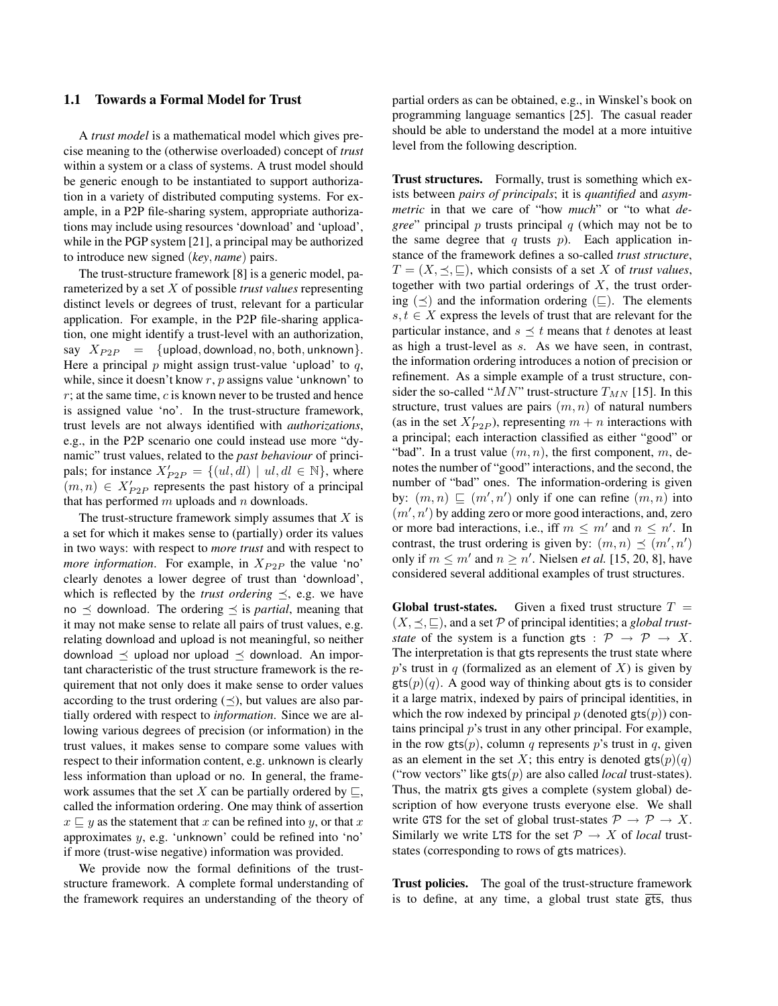### **1.1 Towards a Formal Model for Trust**

A *trust model* is a mathematical model which gives precise meaning to the (otherwise overloaded) concept of *trust* within a system or a class of systems. A trust model should be generic enough to be instantiated to support authorization in a variety of distributed computing systems. For example, in a P2P file-sharing system, appropriate authorizations may include using resources 'download' and 'upload', while in the PGP system [21], a principal may be authorized to introduce new signed (*key*, *name*) pairs.

The trust-structure framework [8] is a generic model, parameterized by a set X of possible *trust values* representing distinct levels or degrees of trust, relevant for a particular application. For example, in the P2P file-sharing application, one might identify a trust-level with an authorization, say  $X_{P2P}$  = {upload, download, no, both, unknown}. Here a principal p might assign trust-value 'upload' to q, while, since it doesn't know  $r$ ,  $p$  assigns value 'unknown' to  $r$ ; at the same time,  $c$  is known never to be trusted and hence is assigned value 'no'. In the trust-structure framework, trust levels are not always identified with *authorizations*, e.g., in the P2P scenario one could instead use more "dynamic" trust values, related to the *past behaviour* of principals; for instance  $X'_{P2P} = \{(ul, dl) \mid ul, dl \in \mathbb{N}\},\$  where  $(m, n) \in X'_{P2P}$  represents the past history of a principal that has performed  $m$  uploads and  $n$  downloads.

The trust-structure framework simply assumes that  $X$  is a set for which it makes sense to (partially) order its values in two ways: with respect to *more trust* and with respect to *more information*. For example, in  $X_{P2P}$  the value 'no' clearly denotes a lower degree of trust than 'download', which is reflected by the *trust ordering*  $\preceq$ , e.g. we have no  $\preceq$  download. The ordering  $\preceq$  is *partial*, meaning that it may not make sense to relate all pairs of trust values, e.g. relating download and upload is not meaningful, so neither download  $\preceq$  upload nor upload  $\preceq$  download. An important characteristic of the trust structure framework is the requirement that not only does it make sense to order values according to the trust ordering  $(\prec)$ , but values are also partially ordered with respect to *information*. Since we are allowing various degrees of precision (or information) in the trust values, it makes sense to compare some values with respect to their information content, e.g. unknown is clearly less information than upload or no. In general, the framework assumes that the set X can be partially ordered by  $\Box$ , called the information ordering. One may think of assertion  $x \nightharpoonup y$  as the statement that x can be refined into y, or that x approximates y, e.g. 'unknown' could be refined into 'no' if more (trust-wise negative) information was provided.

We provide now the formal definitions of the truststructure framework. A complete formal understanding of the framework requires an understanding of the theory of partial orders as can be obtained, e.g., in Winskel's book on programming language semantics [25]. The casual reader should be able to understand the model at a more intuitive level from the following description.

**Trust structures.** Formally, trust is something which exists between *pairs of principals*; it is *quantified* and *asymmetric* in that we care of "how *much*" or "to what *degree*" principal p trusts principal q (which may not be to the same degree that q trusts  $p$ ). Each application instance of the framework defines a so-called *trust structure*,  $T = (X, \leq, \subseteq)$ , which consists of a set X of *trust values*, together with two partial orderings of  $X$ , the trust ordering  $(\preceq)$  and the information ordering  $(\sqsubseteq)$ . The elements  $s,t \in X$  express the levels of trust that are relevant for the particular instance, and  $s \preceq t$  means that t denotes at least as high a trust-level as s. As we have seen, in contrast, the information ordering introduces a notion of precision or refinement. As a simple example of a trust structure, consider the so-called " $MN$ " trust-structure  $T_{MN}$  [15]. In this structure, trust values are pairs  $(m, n)$  of natural numbers (as in the set  $X'_{P2P}$ ), representing  $m + n$  interactions with a principal; each interaction classified as either "good" or "bad". In a trust value  $(m, n)$ , the first component, m, denotes the number of "good" interactions, and the second, the number of "bad" ones. The information-ordering is given by:  $(m, n) \sqsubseteq (m', n')$  only if one can refine  $(m, n)$  into  $(m', n')$  by adding zero or more good interactions, and, zero or more bad interactions, i.e., iff  $m \leq m'$  and  $n \leq n'$ . In contrast, the trust ordering is given by:  $(m, n) \preceq (m', n')$ only if  $m \leq m'$  and  $n \geq n'$ . Nielsen *et al.* [15, 20, 8], have considered several additional examples of trust structures.

**Global trust-states.** Given a fixed trust structure  $T =$  $(X, \leq, \sqsubseteq)$ , and a set P of principal identities; a *global truststate* of the system is a function gts :  $\mathcal{P} \rightarrow \mathcal{P} \rightarrow X$ . The interpretation is that gts represents the trust state where  $p$ 's trust in q (formalized as an element of X) is given by  $gts(p)(q)$ . A good way of thinking about gts is to consider it a large matrix, indexed by pairs of principal identities, in which the row indexed by principal p (denoted  $gts(p)$ ) contains principal  $p$ 's trust in any other principal. For example, in the row gts $(p)$ , column q represents p's trust in q, given as an element in the set X; this entry is denoted  $gts(p)(q)$ ("row vectors" like gts(p) are also called *local* trust-states). Thus, the matrix gts gives a complete (system global) description of how everyone trusts everyone else. We shall write GTS for the set of global trust-states  $\mathcal{P} \rightarrow \mathcal{P} \rightarrow X$ . Similarly we write LTS for the set  $\mathcal{P} \to X$  of *local* truststates (corresponding to rows of gts matrices).

**Trust policies.** The goal of the trust-structure framework is to define, at any time, a global trust state  $\overline{gts}$ , thus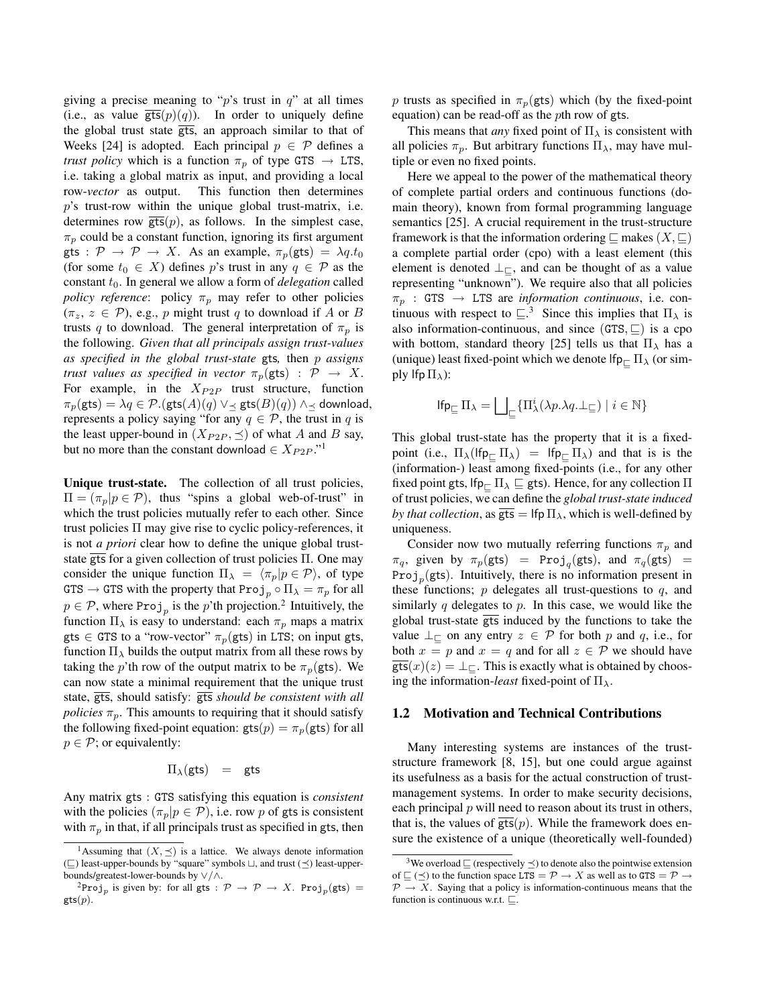giving a precise meaning to "p's trust in  $q$ " at all times (i.e., as value  $\overline{gts}(p)(q)$ ). In order to uniquely define the global trust state gts, an approach similar to that of Weeks [24] is adopted. Each principal  $p \in \mathcal{P}$  defines a *trust policy* which is a function  $\pi_p$  of type GTS  $\rightarrow$  LTS, i.e. taking a global matrix as input, and providing a local row-*vector* as output. This function then determines  $p$ 's trust-row within the unique global trust-matrix, i.e. determines row  $\overline{gts}(p)$ , as follows. In the simplest case,  $\pi_p$  could be a constant function, ignoring its first argument gts :  $\mathcal{P} \rightarrow \mathcal{P} \rightarrow X$ . As an example,  $\pi_p(\text{gts}) = \lambda q.t_0$ (for some  $t_0 \in X$ ) defines p's trust in any  $q \in \mathcal{P}$  as the constant t0. In general we allow a form of *delegation* called *policy reference*: policy  $\pi_p$  may refer to other policies  $(\pi_z, z \in \mathcal{P})$ , e.g., p might trust q to download if A or B trusts q to download. The general interpretation of  $\pi_p$  is the following. *Given that all principals assign trust-values as specified in the global trust-state* gts*,* then p *assigns trust values as specified in vector*  $\pi_p(\text{gts})$  :  $\mathcal{P} \rightarrow X$ . For example, in the  $X_{P2P}$  trust structure, function  $\pi_p(\textsf{gts}) = \lambda q \in \mathcal{P}.(\textsf{gts}(A)(q) \vee \prec \textsf{gts}(B)(q)) \wedge \prec \textsf{download},$ represents a policy saying "for any  $q \in \mathcal{P}$ , the trust in q is the least upper-bound in  $(X_{P2P}, \preceq)$  of what A and B say, but no more than the constant download  $\in X_{P2P}$ ."<sup>1</sup>

**Unique trust-state.** The collection of all trust policies,  $\Pi = (\pi_p|p \in \mathcal{P})$ , thus "spins a global web-of-trust" in which the trust policies mutually refer to each other. Since trust policies Π may give rise to cyclic policy-references, it is not *a priori* clear how to define the unique global truststate gts for a given collection of trust policies Π. One may consider the unique function  $\Pi_{\lambda} = \langle \pi_p|p \in \mathcal{P} \rangle$ , of type GTS  $\rightarrow$  GTS with the property that Proj<sub>p</sub>  $\circ$   $\Pi_{\lambda} = \pi_p$  for all  $p \in \mathcal{P}$ , where Proj<sub>p</sub> is the p'th projection.<sup>2</sup> Intuitively, the function  $\Pi_{\lambda}$  is easy to understand: each  $\pi_p$  maps a matrix gts  $\in$  GTS to a "row-vector"  $\pi_p$ (gts) in LTS; on input gts, function  $\Pi_{\lambda}$  builds the output matrix from all these rows by taking the p'th row of the output matrix to be  $\pi_p(\text{gts})$ . We can now state a minimal requirement that the unique trust state, gts, should satisfy: gts *should be consistent with all policies*  $\pi_p$ . This amounts to requiring that it should satisfy the following fixed-point equation:  $gts(p) = \pi_p(sts)$  for all  $p \in \mathcal{P}$ ; or equivalently:

$$
\Pi_{\lambda}(\mathsf{gts}) = \mathsf{gts}
$$

Any matrix gts : GTS satisfying this equation is *consistent* with the policies  $(\pi_p|p \in \mathcal{P})$ , i.e. row p of gts is consistent with  $\pi_p$  in that, if all principals trust as specified in gts, then p trusts as specified in  $\pi_p(\text{gts})$  which (by the fixed-point equation) can be read-off as the pth row of gts.

This means that *any* fixed point of  $\Pi_{\lambda}$  is consistent with all policies  $\pi_p$ . But arbitrary functions  $\Pi_\lambda$ , may have multiple or even no fixed points.

Here we appeal to the power of the mathematical theory of complete partial orders and continuous functions (domain theory), known from formal programming language semantics [25]. A crucial requirement in the trust-structure framework is that the information ordering  $\sqsubseteq$  makes  $(X, \sqsubseteq)$ a complete partial order (cpo) with a least element (this element is denoted  $\perp_{\sqsubseteq}$ , and can be thought of as a value representing "unknown"). We require also that all policies  $\pi_p$  : GTS  $\rightarrow$  LTS are *information continuous*, i.e. continuous with respect to  $\subseteq$ .<sup>3</sup> Since this implies that  $\Pi_{\lambda}$  is also information-continuous, and since  $(GTS, \sqsubseteq)$  is a cpo with bottom, standard theory [25] tells us that  $\Pi_{\lambda}$  has a (unique) least fixed-point which we denote lfp<sub> $\Box$ </sub> T<sub> $\lambda$ </sub> (or simply lfp  $\Pi_\lambda$ ):

$$
\mathsf{lfp}_{\sqsubseteq}\Pi_{\lambda} = \bigsqcup_{\sqsubseteq} \{\Pi_{\lambda}^{i}(\lambda p.\lambda q.\bot_{\sqsubseteq}) \mid i \in \mathbb{N}\}
$$

This global trust-state has the property that it is a fixedpoint (i.e.,  $\Pi_{\lambda}(\text{If } p_{\square} \Pi_{\lambda}) = \text{If } p_{\square} \Pi_{\lambda}$ ) and that is is the (information-) least among fixed-points (i.e., for any other fixed point gts,  $\mathsf{Ifp}_{\sqsubset}\Pi_{\lambda} \sqsubseteq$  gts). Hence, for any collection  $\Pi$ of trust policies, we can define the *global trust-state induced by that collection*, as  $\overline{gts} =$  Ifp  $\Pi_{\lambda}$ , which is well-defined by uniqueness.

Consider now two mutually referring functions  $\pi_p$  and  $\pi_q$ , given by  $\pi_p(\text{gts}) = \text{Proj}_q(\text{gts})$ , and  $\pi_q(\text{gts}) =$ Proj<sub>p</sub>(gts). Intuitively, there is no information present in these functions;  $p$  delegates all trust-questions to  $q$ , and similarly  $q$  delegates to  $p$ . In this case, we would like the global trust-state gts induced by the functions to take the value  $\bot$ <sub>⊏</sub> on any entry  $z \in \mathcal{P}$  for both p and q, i.e., for both  $x = p$  and  $x = q$  and for all  $z \in \mathcal{P}$  we should have  $\overline{\text{gts}}(x)(z) = \perp_{\square}$ . This is exactly what is obtained by choosing the information-*least* fixed-point of  $\Pi_{\lambda}$ .

### **1.2 Motivation and Technical Contributions**

Many interesting systems are instances of the truststructure framework [8, 15], but one could argue against its usefulness as a basis for the actual construction of trustmanagement systems. In order to make security decisions, each principal  $p$  will need to reason about its trust in others, that is, the values of  $\overline{gts}(p)$ . While the framework does ensure the existence of a unique (theoretically well-founded)

<sup>&</sup>lt;sup>1</sup>Assuming that  $(X, \preceq)$  is a lattice. We always denote information  $(\sqsubseteq)$  least-upper-bounds by "square" symbols  $\sqcup$ , and trust  $(\preceq)$  least-upperbounds/greatest-lower-bounds by ∨/∧.

 ${}^{2}$ Proj $_{p}$  is given by: for all gts :  $\mathcal{P} \rightarrow \mathcal{P} \rightarrow X$ . Proj $_{p}$ (gts) =  $gts(p)$ .

<sup>&</sup>lt;sup>3</sup>We overload  $\sqsubseteq$  (respectively  $\preceq$ ) to denote also the pointwise extension of  $\Box (\prec)$  to the function space LTS =  $\mathcal{P} \rightarrow X$  as well as to GTS =  $\mathcal{P} \rightarrow$  $\mathcal{P} \rightarrow X$ . Saying that a policy is information-continuous means that the function is continuous w.r.t.  $\sqsubseteq$ .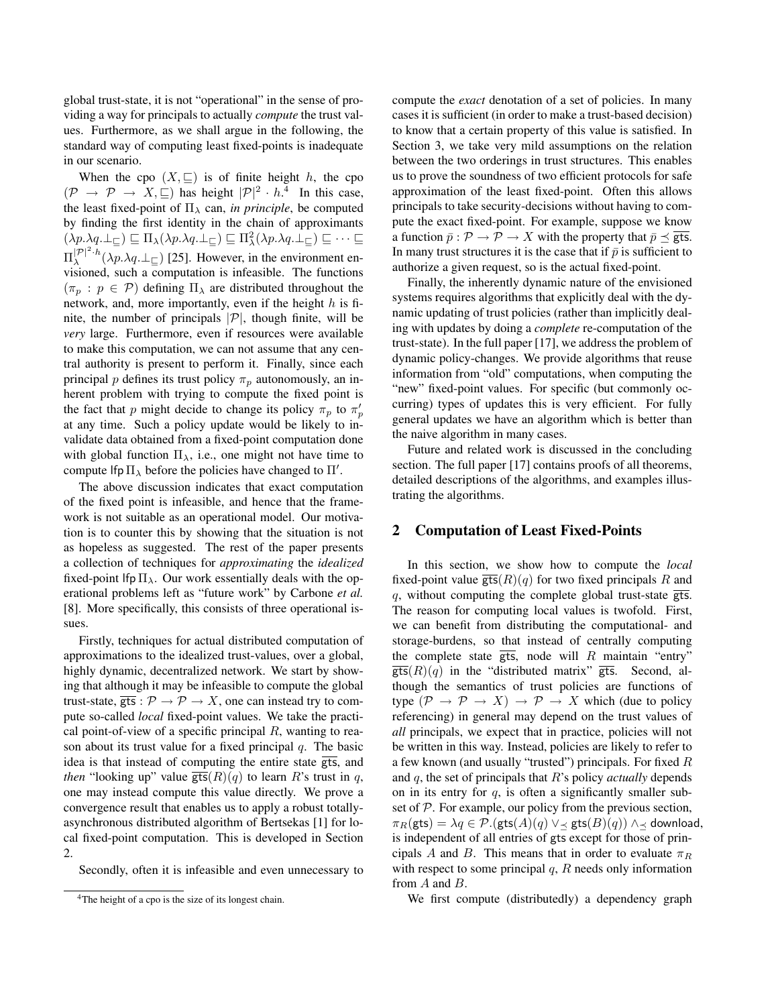global trust-state, it is not "operational" in the sense of providing a way for principals to actually *compute* the trust values. Furthermore, as we shall argue in the following, the standard way of computing least fixed-points is inadequate in our scenario.

When the cpo  $(X, \subseteq)$  is of finite height h, the cpo  $(\mathcal{P} \rightarrow \mathcal{P} \rightarrow X, \sqsubseteq)$  has height  $|\mathcal{P}|^2 \cdot h^4$ . In this case, the least fixed-point of  $\Pi_{\lambda}$  can, *in principle*, be computed by finding the first identity in the chain of approximants  $(\lambda p.\lambda q.\perp_{\sqsubseteq}) \sqsubseteq \Pi_{\lambda}(\lambda p.\lambda q.\perp_{\sqsubseteq}) \sqsubseteq \Pi_{\lambda}^{2}(\lambda p.\lambda q.\perp_{\sqsubseteq}) \sqsubseteq \cdots \sqsubseteq$  $\Pi^{|\mathcal{P}|^2 \cdot h}_{\lambda}$  $\lambda^{p+1}$ <sup> $\Lambda$ </sup> $(\lambda p.\lambda q.\perp_{\sqsubseteq})$  [25]. However, in the environment envisioned, such a computation is infeasible. The functions  $(\pi_p : p \in \mathcal{P})$  defining  $\Pi_{\lambda}$  are distributed throughout the network, and, more importantly, even if the height  $h$  is finite, the number of principals  $|\mathcal{P}|$ , though finite, will be *very* large. Furthermore, even if resources were available to make this computation, we can not assume that any central authority is present to perform it. Finally, since each principal p defines its trust policy  $\pi_p$  autonomously, an inherent problem with trying to compute the fixed point is the fact that p might decide to change its policy  $\pi_p$  to  $\pi'_p$ at any time. Such a policy update would be likely to invalidate data obtained from a fixed-point computation done with global function  $\Pi_{\lambda}$ , i.e., one might not have time to compute lfp  $\Pi_{\lambda}$  before the policies have changed to  $\Pi'$ .

The above discussion indicates that exact computation of the fixed point is infeasible, and hence that the framework is not suitable as an operational model. Our motivation is to counter this by showing that the situation is not as hopeless as suggested. The rest of the paper presents a collection of techniques for *approximating* the *idealized* fixed-point lfp  $\Pi_{\lambda}$ . Our work essentially deals with the operational problems left as "future work" by Carbone *et al.* [8]. More specifically, this consists of three operational issues.

Firstly, techniques for actual distributed computation of approximations to the idealized trust-values, over a global, highly dynamic, decentralized network. We start by showing that although it may be infeasible to compute the global trust-state,  $\overline{gts}$ :  $\mathcal{P} \rightarrow \mathcal{P} \rightarrow X$ , one can instead try to compute so-called *local* fixed-point values. We take the practical point-of-view of a specific principal  $R$ , wanting to reason about its trust value for a fixed principal  $q$ . The basic idea is that instead of computing the entire state  $\overline{gts}$ , and *then* "looking up" value  $\overline{gts}(R)(q)$  to learn R's trust in q, one may instead compute this value directly. We prove a convergence result that enables us to apply a robust totallyasynchronous distributed algorithm of Bertsekas [1] for local fixed-point computation. This is developed in Section 2.

Secondly, often it is infeasible and even unnecessary to

compute the *exact* denotation of a set of policies. In many cases it is sufficient (in order to make a trust-based decision) to know that a certain property of this value is satisfied. In Section 3, we take very mild assumptions on the relation between the two orderings in trust structures. This enables us to prove the soundness of two efficient protocols for safe approximation of the least fixed-point. Often this allows principals to take security-decisions without having to compute the exact fixed-point. For example, suppose we know a function  $\bar{p}: \mathcal{P} \to \mathcal{P} \to X$  with the property that  $\bar{p} \preceq \overline{\text{gts}}$ . In many trust structures it is the case that if  $\bar{p}$  is sufficient to authorize a given request, so is the actual fixed-point.

Finally, the inherently dynamic nature of the envisioned systems requires algorithms that explicitly deal with the dynamic updating of trust policies (rather than implicitly dealing with updates by doing a *complete* re-computation of the trust-state). In the full paper [17], we address the problem of dynamic policy-changes. We provide algorithms that reuse information from "old" computations, when computing the "new" fixed-point values. For specific (but commonly occurring) types of updates this is very efficient. For fully general updates we have an algorithm which is better than the naive algorithm in many cases.

Future and related work is discussed in the concluding section. The full paper [17] contains proofs of all theorems, detailed descriptions of the algorithms, and examples illustrating the algorithms.

# **2 Computation of Least Fixed-Points**

In this section, we show how to compute the *local* fixed-point value  $\overline{gts}(R)(q)$  for two fixed principals R and q, without computing the complete global trust-state  $\overline{g}$ ts. The reason for computing local values is twofold. First, we can benefit from distributing the computational- and storage-burdens, so that instead of centrally computing the complete state  $\overline{gts}$ , node will R maintain "entry"  $\overline{\text{gts}}(R)(q)$  in the "distributed matrix"  $\overline{\text{gts}}$ . Second, although the semantics of trust policies are functions of type  $(\mathcal{P} \rightarrow \mathcal{P} \rightarrow X) \rightarrow \mathcal{P} \rightarrow X$  which (due to policy referencing) in general may depend on the trust values of *all* principals, we expect that in practice, policies will not be written in this way. Instead, policies are likely to refer to a few known (and usually "trusted") principals. For fixed R and q, the set of principals that R's policy *actually* depends on in its entry for  $q$ , is often a significantly smaller subset of  $P$ . For example, our policy from the previous section,  $\pi_R(\textsf{gts}) = \lambda q \in \mathcal{P}.(\textsf{gts}(A)(q) \vee \prec \textsf{gts}(B)(q)) \wedge \prec \textsf{download},$ is independent of all entries of gts except for those of principals A and B. This means that in order to evaluate  $\pi_R$ with respect to some principal  $q$ ,  $R$  needs only information from A and B.

We first compute (distributedly) a dependency graph

<sup>&</sup>lt;sup>4</sup>The height of a cpo is the size of its longest chain.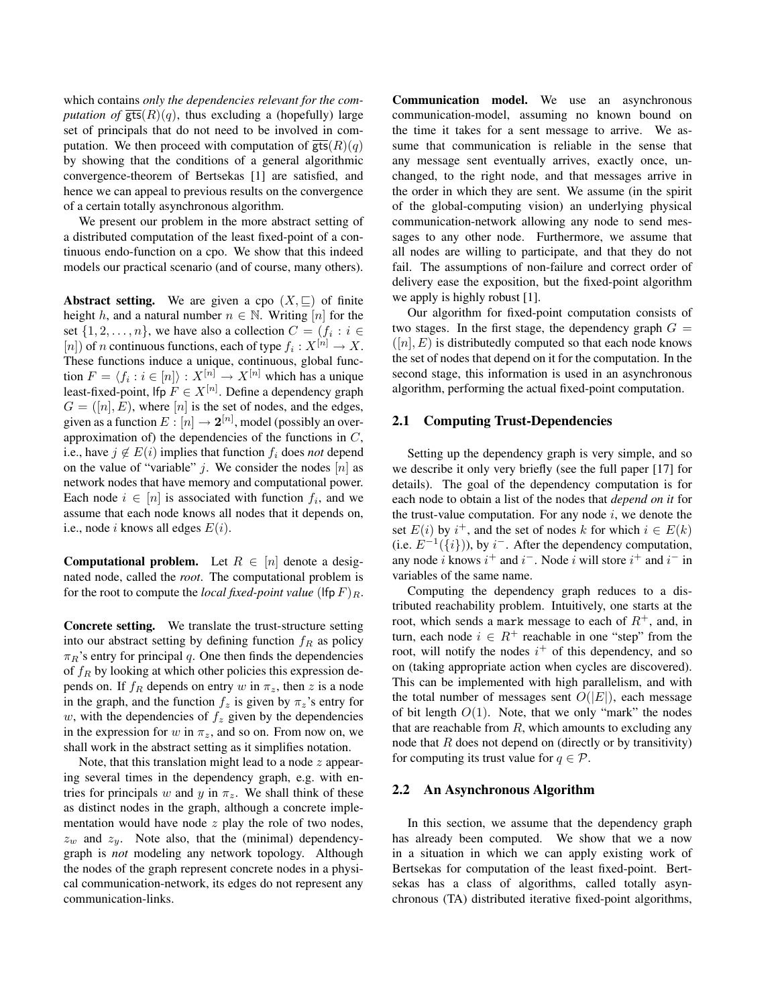which contains *only the dependencies relevant for the computation of*  $\overline{gts}(R)(q)$ , thus excluding a (hopefully) large set of principals that do not need to be involved in computation. We then proceed with computation of  $\overline{gts}(R)(q)$ by showing that the conditions of a general algorithmic convergence-theorem of Bertsekas [1] are satisfied, and hence we can appeal to previous results on the convergence of a certain totally asynchronous algorithm.

We present our problem in the more abstract setting of a distributed computation of the least fixed-point of a continuous endo-function on a cpo. We show that this indeed models our practical scenario (and of course, many others).

**Abstract setting.** We are given a cpo  $(X, \sqsubseteq)$  of finite height h, and a natural number  $n \in \mathbb{N}$ . Writing [n] for the set  $\{1, 2, \ldots, n\}$ , we have also a collection  $C = (f_i : i \in$ [n]) of n continuous functions, each of type  $f_i: X^{[n]} \to X$ . These functions induce a unique, continuous, global function  $F = \langle f_i : i \in [n] \rangle : X^{[n]} \to X^{[n]}$  which has a unique least-fixed-point, lfp  $F \in X^{[n]}$ . Define a dependency graph  $G = ([n], E)$ , where [n] is the set of nodes, and the edges, given as a function  $E : [n] \to \mathbf{2}^{[n]}$ , model (possibly an overapproximation of) the dependencies of the functions in  $C$ , i.e., have  $j \notin E(i)$  implies that function  $f_i$  does *not* depend on the value of "variable" *j*. We consider the nodes  $[n]$  as network nodes that have memory and computational power. Each node  $i \in [n]$  is associated with function  $f_i$ , and we assume that each node knows all nodes that it depends on, i.e., node i knows all edges  $E(i)$ .

**Computational problem.** Let  $R \in [n]$  denote a designated node, called the *root*. The computational problem is for the root to compute the *local fixed-point value* (lfp  $F)_{R}$ .

**Concrete setting.** We translate the trust-structure setting into our abstract setting by defining function  $f_R$  as policy  $\pi_R$ 's entry for principal q. One then finds the dependencies of  $f_R$  by looking at which other policies this expression depends on. If  $f_R$  depends on entry w in  $\pi_z$ , then z is a node in the graph, and the function  $f_z$  is given by  $\pi_z$ 's entry for w, with the dependencies of  $f_z$  given by the dependencies in the expression for w in  $\pi_z$ , and so on. From now on, we shall work in the abstract setting as it simplifies notation.

Note, that this translation might lead to a node  $z$  appearing several times in the dependency graph, e.g. with entries for principals w and y in  $\pi_z$ . We shall think of these as distinct nodes in the graph, although a concrete implementation would have node  $z$  play the role of two nodes,  $z_w$  and  $z_y$ . Note also, that the (minimal) dependencygraph is *not* modeling any network topology. Although the nodes of the graph represent concrete nodes in a physical communication-network, its edges do not represent any communication-links.

**Communication model.** We use an asynchronous communication-model, assuming no known bound on the time it takes for a sent message to arrive. We assume that communication is reliable in the sense that any message sent eventually arrives, exactly once, unchanged, to the right node, and that messages arrive in the order in which they are sent. We assume (in the spirit of the global-computing vision) an underlying physical communication-network allowing any node to send messages to any other node. Furthermore, we assume that all nodes are willing to participate, and that they do not fail. The assumptions of non-failure and correct order of delivery ease the exposition, but the fixed-point algorithm we apply is highly robust [1].

Our algorithm for fixed-point computation consists of two stages. In the first stage, the dependency graph  $G =$  $([n], E)$  is distributedly computed so that each node knows the set of nodes that depend on it for the computation. In the second stage, this information is used in an asynchronous algorithm, performing the actual fixed-point computation.

### **2.1 Computing Trust-Dependencies**

Setting up the dependency graph is very simple, and so we describe it only very briefly (see the full paper [17] for details). The goal of the dependency computation is for each node to obtain a list of the nodes that *depend on it* for the trust-value computation. For any node  $i$ , we denote the set  $E(i)$  by  $i^+$ , and the set of nodes k for which  $i \in E(k)$ (i.e.  $E^{-1}(\{i\})$ ), by  $i^-$ . After the dependency computation, any node *i* knows  $i^+$  and  $i^-$ . Node *i* will store  $i^+$  and  $i^-$  in variables of the same name.

Computing the dependency graph reduces to a distributed reachability problem. Intuitively, one starts at the root, which sends a mark message to each of  $R^+$ , and, in turn, each node  $i \in R^+$  reachable in one "step" from the root, will notify the nodes  $i^+$  of this dependency, and so on (taking appropriate action when cycles are discovered). This can be implemented with high parallelism, and with the total number of messages sent  $O(|E|)$ , each message of bit length  $O(1)$ . Note, that we only "mark" the nodes that are reachable from  $R$ , which amounts to excluding any node that  $R$  does not depend on (directly or by transitivity) for computing its trust value for  $q \in \mathcal{P}$ .

#### **2.2 An Asynchronous Algorithm**

In this section, we assume that the dependency graph has already been computed. We show that we a now in a situation in which we can apply existing work of Bertsekas for computation of the least fixed-point. Bertsekas has a class of algorithms, called totally asynchronous (TA) distributed iterative fixed-point algorithms,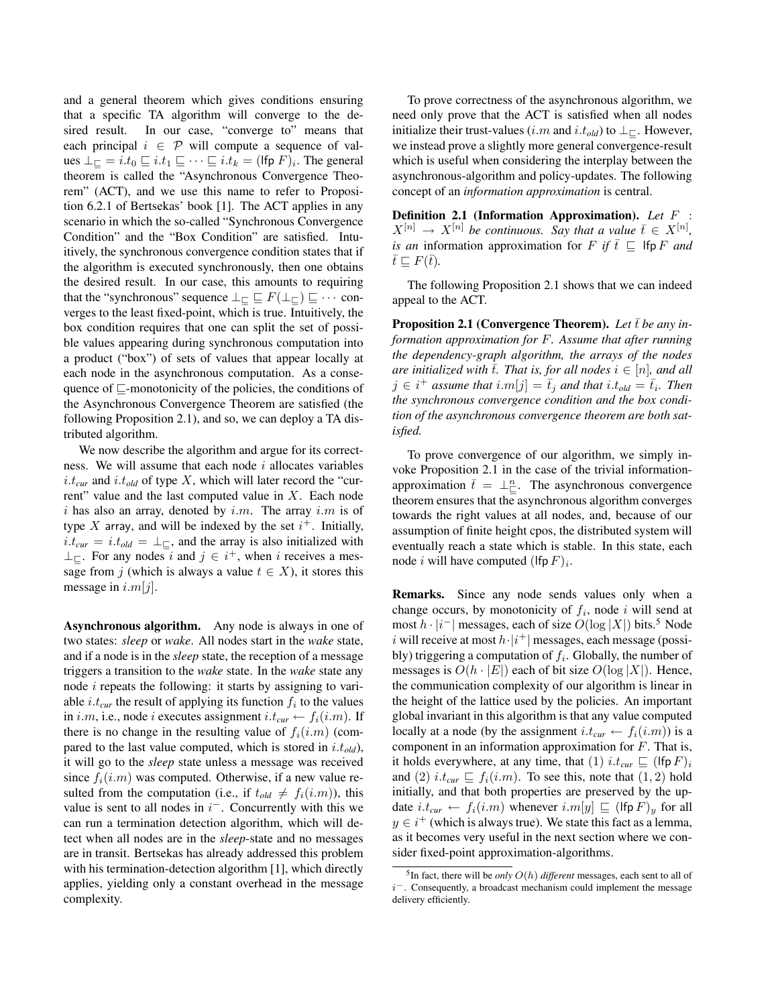and a general theorem which gives conditions ensuring that a specific TA algorithm will converge to the desired result. In our case, "converge to" means that each principal  $i \in \mathcal{P}$  will compute a sequence of values  $\bot_{\sqsubseteq} = i.t_0 \sqsubseteq i.t_1 \sqsubseteq \cdots \sqsubseteq i.t_k = (\text{lfp } F)_i$ . The general theorem is called the "Asynchronous Convergence Theorem" (ACT), and we use this name to refer to Proposition 6.2.1 of Bertsekas' book [1]. The ACT applies in any scenario in which the so-called "Synchronous Convergence Condition" and the "Box Condition" are satisfied. Intuitively, the synchronous convergence condition states that if the algorithm is executed synchronously, then one obtains the desired result. In our case, this amounts to requiring that the "synchronous" sequence  $\bot\_\sqsubset\sqsubseteq F(\bot\_\sqsubset)\sqsubseteq\cdots$  converges to the least fixed-point, which is true. Intuitively, the box condition requires that one can split the set of possible values appearing during synchronous computation into a product ("box") of sets of values that appear locally at each node in the asynchronous computation. As a consequence of  $\Box$ -monotonicity of the policies, the conditions of the Asynchronous Convergence Theorem are satisfied (the following Proposition 2.1), and so, we can deploy a TA distributed algorithm.

We now describe the algorithm and argue for its correctness. We will assume that each node  $i$  allocates variables  $i.t_{\text{cur}}$  and  $i.t_{\text{old}}$  of type X, which will later record the "current" value and the last computed value in  $X$ . Each node i has also an array, denoted by i.m. The array i.m is of type X array, and will be indexed by the set  $i^+$ . Initially,  $i.t_{\text{cur}} = i.t_{\text{old}} = \perp_{\sqsubseteq}$ , and the array is also initialized with  $\perp_{\sqsubseteq}$ . For any nodes i and  $j \in i^{+}$ , when i receives a message from j (which is always a value  $t \in X$ ), it stores this message in  $i.m[j]$ .

**Asynchronous algorithm.** Any node is always in one of two states: *sleep* or *wake*. All nodes start in the *wake* state, and if a node is in the *sleep* state, the reception of a message triggers a transition to the *wake* state. In the *wake* state any node  $i$  repeats the following: it starts by assigning to variable  $i.t_{cur}$  the result of applying its function  $f_i$  to the values in *i.m*, i.e., node *i* executes assignment  $i.t_{cur} \leftarrow f_i(i.m)$ . If there is no change in the resulting value of  $f_i(i.m)$  (compared to the last value computed, which is stored in i.t*old*), it will go to the *sleep* state unless a message was received since  $f_i(i.m)$  was computed. Otherwise, if a new value resulted from the computation (i.e., if  $t_{old} \neq f_i(i.m)$ ), this value is sent to all nodes in  $i^-$ . Concurrently with this we can run a termination detection algorithm, which will detect when all nodes are in the *sleep*-state and no messages are in transit. Bertsekas has already addressed this problem with his termination-detection algorithm [1], which directly applies, yielding only a constant overhead in the message complexity.

To prove correctness of the asynchronous algorithm, we need only prove that the ACT is satisfied when all nodes initialize their trust-values (*i.m* and *i.t<sub>old</sub>*) to  $\perp_{\sqsubset}$ . However, we instead prove a slightly more general convergence-result which is useful when considering the interplay between the asynchronous-algorithm and policy-updates. The following concept of an *information approximation* is central.

**Definition 2.1 (Information Approximation).** *Let* F :  $X^{[n]} \rightarrow X^{[n]}$  *be continuous. Say that a value*  $\bar{t} \in X^{[n]}$ , *is an* information approximation for F if  $\overline{t} \subseteq$  lfp F and  $\overline{t}\sqsubset F(\overline{t})$ .

The following Proposition 2.1 shows that we can indeed appeal to the ACT.

**Proposition 2.1** (Convergence Theorem). Let  $\overline{t}$  be any in*formation approximation for* F*. Assume that after running the dependency-graph algorithm, the arrays of the nodes are initialized with*  $\overline{t}$ *. That is, for all nodes*  $i \in [n]$ *, and all*  $j \in i^+$  assume that  $i.m[j] = \overline{t}_j$  and that  $i.t_{old} = \overline{t}_i$ . Then *the synchronous convergence condition and the box condition of the asynchronous convergence theorem are both satisfied.*

To prove convergence of our algorithm, we simply invoke Proposition 2.1 in the case of the trivial informationapproximation  $\bar{t} = \perp_{\sqsubseteq}^{n}$ . The asynchronous convergence theorem ensures that the asynchronous algorithm converges towards the right values at all nodes, and, because of our assumption of finite height cpos, the distributed system will eventually reach a state which is stable. In this state, each node *i* will have computed  $(\text{If } p \mid F)_i$ .

**Remarks.** Since any node sends values only when a change occurs, by monotonicity of  $f_i$ , node i will send at most  $h \cdot |i^-|$  messages, each of size  $O(\log |X|)$  bits.<sup>5</sup> Node i will receive at most  $h \cdot |i^+|$  messages, each message (possibly) triggering a computation of  $f_i$ . Globally, the number of messages is  $O(h \cdot |E|)$  each of bit size  $O(\log |X|)$ . Hence, the communication complexity of our algorithm is linear in the height of the lattice used by the policies. An important global invariant in this algorithm is that any value computed locally at a node (by the assignment  $i.t_{cur} \leftarrow f_i(i.m))$  is a component in an information approximation for  $F$ . That is, it holds everywhere, at any time, that (1)  $i.t_{cur} \subseteq (\text{Ifp } F)_i$ and (2)  $i.t_{cur} \sqsubseteq f_i(i.m)$ . To see this, note that (1, 2) hold initially, and that both properties are preserved by the update  $i.t_{cur} \leftarrow f_i(i.m)$  whenever  $i.m[y] \sqsubseteq (\text{Ifp } F)_y$  for all  $y \in i^+$  (which is always true). We state this fact as a lemma, as it becomes very useful in the next section where we consider fixed-point approximation-algorithms.

<sup>5</sup> In fact, there will be *only* O(h) *different* messages, each sent to all of  $i^-$ . Consequently, a broadcast mechanism could implement the message delivery efficiently.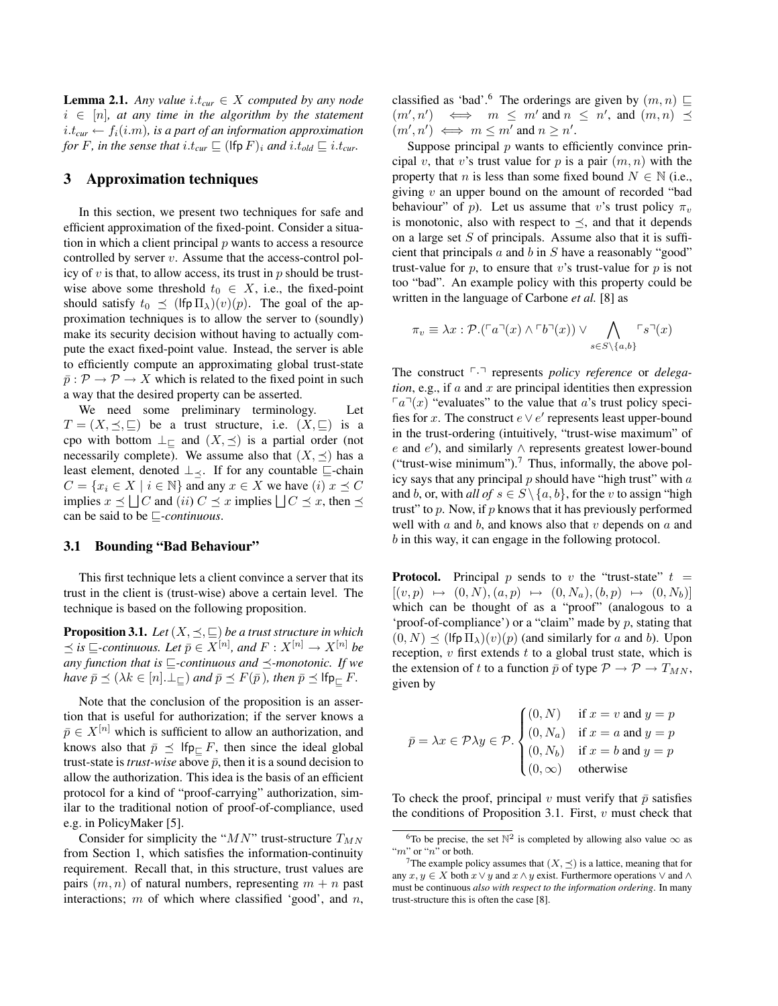**Lemma 2.1.** *Any value*  $i.t_{cur} \in X$  *computed by any node*  $i \in [n]$ , at any time in the algorithm by the statement  $i.t_{cur} \leftarrow f_i(i.m)$ , *is a part of an information approximation for* F, *in the sense that*  $i.t_{cur} \subseteq (\text{Ifp } F)_i$  *and*  $i.t_{old} \subseteq i.t_{cur}$ .

# **3 Approximation techniques**

In this section, we present two techniques for safe and efficient approximation of the fixed-point. Consider a situation in which a client principal  $p$  wants to access a resource controlled by server v. Assume that the access-control policy of  $v$  is that, to allow access, its trust in  $p$  should be trustwise above some threshold  $t_0 \in X$ , i.e., the fixed-point should satisfy  $t_0 \preceq$  (lfp  $\Pi_{\lambda}(v)(p)$ ). The goal of the approximation techniques is to allow the server to (soundly) make its security decision without having to actually compute the exact fixed-point value. Instead, the server is able to efficiently compute an approximating global trust-state  $\bar{p}: \mathcal{P} \to \mathcal{P} \to X$  which is related to the fixed point in such a way that the desired property can be asserted.

We need some preliminary terminology. Let  $T = (X, \preceq, \sqsubseteq)$  be a trust structure, i.e.  $(X, \sqsubseteq)$  is a cpo with bottom  $\perp \subset \text{and } (X, \preceq)$  is a partial order (not necessarily complete). We assume also that  $(X, \preceq)$  has a least element, denoted  $\perp \leq$ . If for any countable  $\sqsubseteq$ -chain  $C = \{x_i \in X \mid i \in \mathbb{N}\}\$ and any  $x \in X$  we have  $(i)$   $x \preceq C$ implies  $x \preceq \bigsqcup C$  and  $(ii)$   $C \preceq x$  implies  $\bigsqcup C \preceq x$ , then  $\preceq$ can be said to be  $\sqsubseteq$ -*continuous*.

### **3.1 Bounding "Bad Behaviour"**

This first technique lets a client convince a server that its trust in the client is (trust-wise) above a certain level. The technique is based on the following proposition.

**Proposition 3.1.** *Let*  $(X, \leq)$  *be a trust structure in which*  $\leq$  *is*  $\sqsubseteq$ -continuous. Let  $\bar{p} \in X^{[n]}$ , and  $F: X^{[n]} \to X^{[n]}$  be *any function that is*  $\sqsubseteq$ *-continuous and*  $\preceq$ *-monotonic. If we have*  $\bar{p} \preceq (\lambda k \in [n].\bot_{\sqsubseteq})$  *and*  $\bar{p} \preceq F(\bar{p})$ *, then*  $\bar{p} \preceq$  lf $\mathsf{p}_{\sqsubset} F$ *.* 

Note that the conclusion of the proposition is an assertion that is useful for authorization; if the server knows a  $\bar{p} \in X^{[n]}$  which is sufficient to allow an authorization, and knows also that  $\bar{p} \preceq$  lfp<sub> $\sqsubset$ </sub> F, then since the ideal global trust-state is *trust-wise* above  $\bar{p}$ , then it is a sound decision to allow the authorization. This idea is the basis of an efficient protocol for a kind of "proof-carrying" authorization, similar to the traditional notion of proof-of-compliance, used e.g. in PolicyMaker [5].

Consider for simplicity the " $MN$ " trust-structure  $T_{MN}$ from Section 1, which satisfies the information-continuity requirement. Recall that, in this structure, trust values are pairs  $(m, n)$  of natural numbers, representing  $m + n$  past interactions;  $m$  of which where classified 'good', and  $n$ , classified as 'bad'.<sup>6</sup> The orderings are given by  $(m, n) \square$  $(m', n'$  $\Rightarrow m \leq m'$  and  $n \leq n'$ , and  $(m, n) \leq$  $(m', n') \iff m \leq m'$  and  $n \geq n'$ .

Suppose principal  $p$  wants to efficiently convince principal v, that v's trust value for p is a pair  $(m, n)$  with the property that n is less than some fixed bound  $N \in \mathbb{N}$  (i.e., giving  $v$  an upper bound on the amount of recorded "bad behaviour" of p). Let us assume that v's trust policy  $\pi_v$ is monotonic, also with respect to  $\preceq$ , and that it depends on a large set  $S$  of principals. Assume also that it is sufficient that principals  $a$  and  $b$  in  $S$  have a reasonably "good" trust-value for p, to ensure that  $v$ 's trust-value for p is not too "bad". An example policy with this property could be written in the language of Carbone *et al.* [8] as

$$
\pi_v \equiv \lambda x : \mathcal{P}.(\ulcorner a \urcorner (x) \land \ulcorner b \urcorner (x)) \lor \bigwedge_{s \in S \setminus \{a,b\}} \ulcorner s \urcorner (x)
$$

The construct  $\lceil \cdot \rceil$  represents *policy reference* or *delegation*, e.g., if  $a$  and  $x$  are principal identities then expression  $\lceil a \rceil(x)$  "evaluates" to the value that a's trust policy specifies for x. The construct  $e \vee e'$  represents least upper-bound in the trust-ordering (intuitively, "trust-wise maximum" of e and  $e'$ ), and similarly  $\land$  represents greatest lower-bound ("trust-wise minimum").<sup>7</sup> Thus, informally, the above policy says that any principal  $p$  should have "high trust" with  $a$ and *b*, or, with *all* of  $s \in S \setminus \{a, b\}$ , for the v to assign "high trust" to  $p$ . Now, if  $p$  knows that it has previously performed well with  $a$  and  $b$ , and knows also that  $v$  depends on  $a$  and b in this way, it can engage in the following protocol.

**Protocol.** Principal p sends to v the "trust-state"  $t =$  $[(v, p) \mapsto (0, N), (a, p) \mapsto (0, N_a), (b, p) \mapsto (0, N_b)]$ which can be thought of as a "proof" (analogous to a 'proof-of-compliance') or a "claim" made by  $p$ , stating that  $(0, N) \preceq ($ lfp  $\Pi_{\lambda}(v)(p)$  (and similarly for a and b). Upon reception,  $v$  first extends  $t$  to a global trust state, which is the extension of t to a function  $\bar{p}$  of type  $\mathcal{P} \to \mathcal{P} \to T_{MN}$ , given by

$$
\bar{p} = \lambda x \in \mathcal{P}\lambda y \in \mathcal{P}.\begin{cases} (0, N) & \text{if } x = v \text{ and } y = p \\ (0, N_a) & \text{if } x = a \text{ and } y = p \\ (0, N_b) & \text{if } x = b \text{ and } y = p \\ (0, \infty) & \text{otherwise} \end{cases}
$$

To check the proof, principal v must verify that  $\bar{p}$  satisfies the conditions of Proposition 3.1. First,  $v$  must check that

<sup>&</sup>lt;sup>6</sup>To be precise, the set  $\mathbb{N}^2$  is completed by allowing also value  $\infty$  as "m" or "n" or both.

<sup>&</sup>lt;sup>7</sup>The example policy assumes that  $(X, \preceq)$  is a lattice, meaning that for any  $x, y \in X$  both  $x \vee y$  and  $x \wedge y$  exist. Furthermore operations  $\vee$  and  $\wedge$ must be continuous *also with respect to the information ordering*. In many trust-structure this is often the case [8].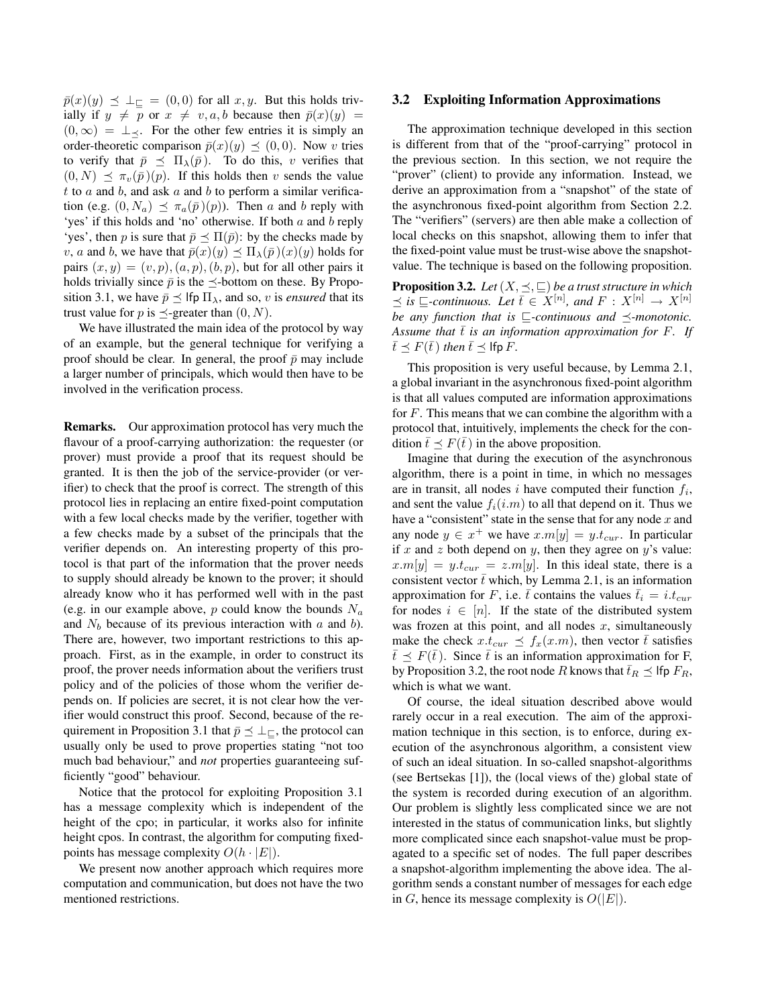$\bar{p}(x)(y) \preceq \bot_{\square} = (0, 0)$  for all  $x, y$ . But this holds trivially if  $y \neq p$  or  $x \neq v, a, b$  because then  $\bar{p}(x)(y) =$  $(0, \infty) = \perp$ . For the other few entries it is simply an order-theoretic comparison  $\bar{p}(x)(y) \preceq (0, 0)$ . Now v tries to verify that  $\bar{p} \preceq \Pi_{\lambda}(\bar{p})$ . To do this, v verifies that  $(0, N) \preceq \pi_v(\bar{p})(p)$ . If this holds then v sends the value t to  $a$  and  $b$ , and ask  $a$  and  $b$  to perform a similar verification (e.g.  $(0, N_a) \preceq \pi_a(\bar{p})(p)$ ). Then a and b reply with 'yes' if this holds and 'no' otherwise. If both  $a$  and  $b$  reply 'yes', then p is sure that  $\bar{p} \preceq \Pi(\bar{p})$ : by the checks made by v, a and b, we have that  $\bar{p}(x)(y) \preceq \Pi_{\lambda}(\bar{p})(x)(y)$  holds for pairs  $(x, y) = (v, p), (a, p), (b, p)$ , but for all other pairs it holds trivially since  $\bar{p}$  is the  $\preceq$ -bottom on these. By Proposition 3.1, we have  $\bar{p} \preceq$  lfp  $\Pi_{\lambda}$ , and so, v is *ensured* that its trust value for p is  $\preceq$ -greater than  $(0, N)$ .

We have illustrated the main idea of the protocol by way of an example, but the general technique for verifying a proof should be clear. In general, the proof  $\bar{p}$  may include a larger number of principals, which would then have to be involved in the verification process.

**Remarks.** Our approximation protocol has very much the flavour of a proof-carrying authorization: the requester (or prover) must provide a proof that its request should be granted. It is then the job of the service-provider (or verifier) to check that the proof is correct. The strength of this protocol lies in replacing an entire fixed-point computation with a few local checks made by the verifier, together with a few checks made by a subset of the principals that the verifier depends on. An interesting property of this protocol is that part of the information that the prover needs to supply should already be known to the prover; it should already know who it has performed well with in the past (e.g. in our example above, p could know the bounds  $N_a$ and  $N_b$  because of its previous interaction with  $a$  and  $b$ ). There are, however, two important restrictions to this approach. First, as in the example, in order to construct its proof, the prover needs information about the verifiers trust policy and of the policies of those whom the verifier depends on. If policies are secret, it is not clear how the verifier would construct this proof. Second, because of the requirement in Proposition 3.1 that  $\bar{p} \preceq \bot_{\sqsubset}$ , the protocol can usually only be used to prove properties stating "not too much bad behaviour," and *not* properties guaranteeing sufficiently "good" behaviour.

Notice that the protocol for exploiting Proposition 3.1 has a message complexity which is independent of the height of the cpo; in particular, it works also for infinite height cpos. In contrast, the algorithm for computing fixedpoints has message complexity  $O(h \cdot |E|)$ .

We present now another approach which requires more computation and communication, but does not have the two mentioned restrictions.

#### **3.2 Exploiting Information Approximations**

The approximation technique developed in this section is different from that of the "proof-carrying" protocol in the previous section. In this section, we not require the "prover" (client) to provide any information. Instead, we derive an approximation from a "snapshot" of the state of the asynchronous fixed-point algorithm from Section 2.2. The "verifiers" (servers) are then able make a collection of local checks on this snapshot, allowing them to infer that the fixed-point value must be trust-wise above the snapshotvalue. The technique is based on the following proposition.

**Proposition 3.2.** *Let*  $(X, \leq) \sqsubseteq$  *be a trust structure in which*  $\leq$  *is*  $\sqsubseteq$ -continuous. Let  $\overline{t} \in X^{[n]}$ , and  $F: X^{[n]} \to X^{[n]}$ *be* any function that is  $\sqsubseteq$ -continuous and  $\preceq$ -monotonic. Assume that  $\bar{t}$  *is an information approximation for*  $F$ *. If*  $\bar{t} \preceq F(\bar{t})$  *then*  $\bar{t} \preceq$  lfp F.

This proposition is very useful because, by Lemma 2.1, a global invariant in the asynchronous fixed-point algorithm is that all values computed are information approximations for  $F$ . This means that we can combine the algorithm with a protocol that, intuitively, implements the check for the condition  $\bar{t} \preceq F(\bar{t})$  in the above proposition.

Imagine that during the execution of the asynchronous algorithm, there is a point in time, in which no messages are in transit, all nodes i have computed their function  $f_i$ , and sent the value  $f_i(i.m)$  to all that depend on it. Thus we have a "consistent" state in the sense that for any node  $x$  and any node  $y \in x^+$  we have  $x.m[y] = y.t_{cur}$ . In particular if  $x$  and  $z$  both depend on  $y$ , then they agree on  $y$ 's value:  $x.m[y] = y.t_{cur} = z.m[y]$ . In this ideal state, there is a consistent vector  $\bar{t}$  which, by Lemma 2.1, is an information approximation for F, i.e.  $\bar{t}$  contains the values  $\bar{t}_i = i.t_{cur}$ for nodes  $i \in [n]$ . If the state of the distributed system was frozen at this point, and all nodes  $x$ , simultaneously make the check  $x.t_{cur} \preceq f_x(x.m)$ , then vector  $\bar{t}$  satisfies  $\bar{t} \preceq F(\bar{t})$ . Since  $\bar{t}$  is an information approximation for F, by Proposition 3.2, the root node R knows that  $\bar{t}_R \preceq$  lfp  $F_R$ , which is what we want.

Of course, the ideal situation described above would rarely occur in a real execution. The aim of the approximation technique in this section, is to enforce, during execution of the asynchronous algorithm, a consistent view of such an ideal situation. In so-called snapshot-algorithms (see Bertsekas [1]), the (local views of the) global state of the system is recorded during execution of an algorithm. Our problem is slightly less complicated since we are not interested in the status of communication links, but slightly more complicated since each snapshot-value must be propagated to a specific set of nodes. The full paper describes a snapshot-algorithm implementing the above idea. The algorithm sends a constant number of messages for each edge in G, hence its message complexity is  $O(|E|)$ .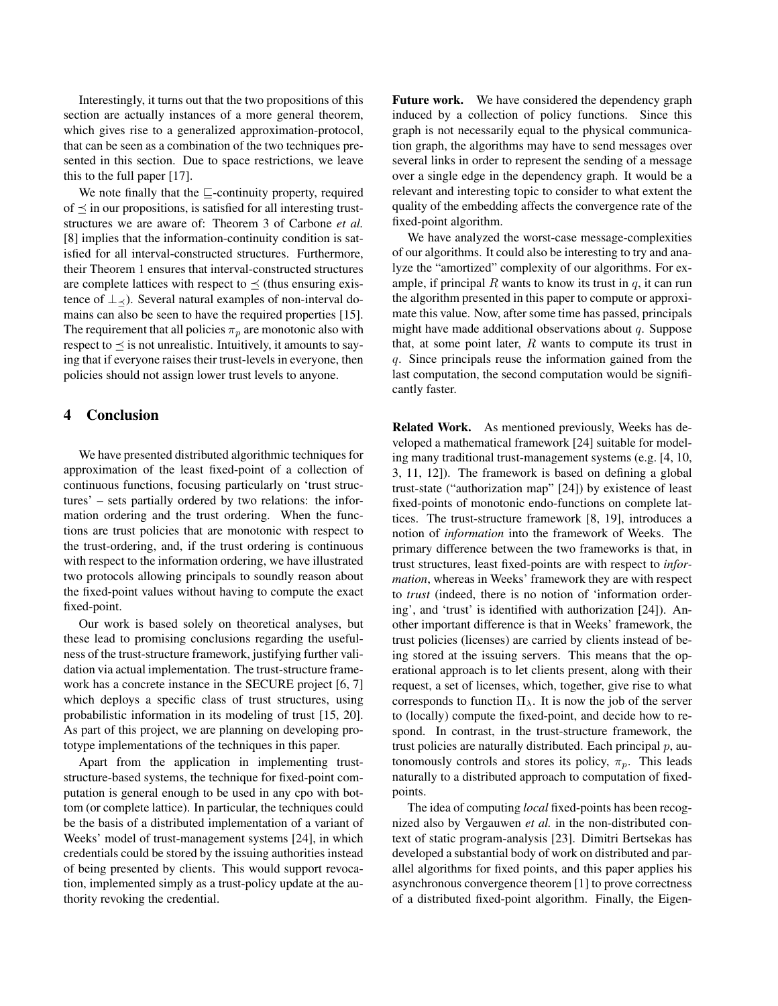Interestingly, it turns out that the two propositions of this section are actually instances of a more general theorem, which gives rise to a generalized approximation-protocol, that can be seen as a combination of the two techniques presented in this section. Due to space restrictions, we leave this to the full paper [17].

We note finally that the  $\sqsubseteq$ -continuity property, required of  $\preceq$  in our propositions, is satisfied for all interesting truststructures we are aware of: Theorem 3 of Carbone *et al.* [8] implies that the information-continuity condition is satisfied for all interval-constructed structures. Furthermore, their Theorem 1 ensures that interval-constructed structures are complete lattices with respect to  $\preceq$  (thus ensuring existence of  $\perp \prec$ ). Several natural examples of non-interval domains can also be seen to have the required properties [15]. The requirement that all policies  $\pi_p$  are monotonic also with respect to  $\prec$  is not unrealistic. Intuitively, it amounts to saying that if everyone raises their trust-levels in everyone, then policies should not assign lower trust levels to anyone.

# **4 Conclusion**

We have presented distributed algorithmic techniques for approximation of the least fixed-point of a collection of continuous functions, focusing particularly on 'trust structures' – sets partially ordered by two relations: the information ordering and the trust ordering. When the functions are trust policies that are monotonic with respect to the trust-ordering, and, if the trust ordering is continuous with respect to the information ordering, we have illustrated two protocols allowing principals to soundly reason about the fixed-point values without having to compute the exact fixed-point.

Our work is based solely on theoretical analyses, but these lead to promising conclusions regarding the usefulness of the trust-structure framework, justifying further validation via actual implementation. The trust-structure framework has a concrete instance in the SECURE project [6, 7] which deploys a specific class of trust structures, using probabilistic information in its modeling of trust [15, 20]. As part of this project, we are planning on developing prototype implementations of the techniques in this paper.

Apart from the application in implementing truststructure-based systems, the technique for fixed-point computation is general enough to be used in any cpo with bottom (or complete lattice). In particular, the techniques could be the basis of a distributed implementation of a variant of Weeks' model of trust-management systems [24], in which credentials could be stored by the issuing authorities instead of being presented by clients. This would support revocation, implemented simply as a trust-policy update at the authority revoking the credential.

**Future work.** We have considered the dependency graph induced by a collection of policy functions. Since this graph is not necessarily equal to the physical communication graph, the algorithms may have to send messages over several links in order to represent the sending of a message over a single edge in the dependency graph. It would be a relevant and interesting topic to consider to what extent the quality of the embedding affects the convergence rate of the fixed-point algorithm.

We have analyzed the worst-case message-complexities of our algorithms. It could also be interesting to try and analyze the "amortized" complexity of our algorithms. For example, if principal R wants to know its trust in  $q$ , it can run the algorithm presented in this paper to compute or approximate this value. Now, after some time has passed, principals might have made additional observations about  $q$ . Suppose that, at some point later,  $R$  wants to compute its trust in q. Since principals reuse the information gained from the last computation, the second computation would be significantly faster.

**Related Work.** As mentioned previously, Weeks has developed a mathematical framework [24] suitable for modeling many traditional trust-management systems (e.g. [4, 10, 3, 11, 12]). The framework is based on defining a global trust-state ("authorization map" [24]) by existence of least fixed-points of monotonic endo-functions on complete lattices. The trust-structure framework [8, 19], introduces a notion of *information* into the framework of Weeks. The primary difference between the two frameworks is that, in trust structures, least fixed-points are with respect to *information*, whereas in Weeks' framework they are with respect to *trust* (indeed, there is no notion of 'information ordering', and 'trust' is identified with authorization [24]). Another important difference is that in Weeks' framework, the trust policies (licenses) are carried by clients instead of being stored at the issuing servers. This means that the operational approach is to let clients present, along with their request, a set of licenses, which, together, give rise to what corresponds to function  $\Pi_{\lambda}$ . It is now the job of the server to (locally) compute the fixed-point, and decide how to respond. In contrast, in the trust-structure framework, the trust policies are naturally distributed. Each principal  $p$ , autonomously controls and stores its policy,  $\pi_p$ . This leads naturally to a distributed approach to computation of fixedpoints.

The idea of computing *local* fixed-points has been recognized also by Vergauwen *et al.* in the non-distributed context of static program-analysis [23]. Dimitri Bertsekas has developed a substantial body of work on distributed and parallel algorithms for fixed points, and this paper applies his asynchronous convergence theorem [1] to prove correctness of a distributed fixed-point algorithm. Finally, the Eigen-